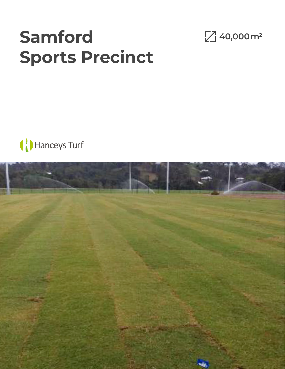## **Samford Sports Precinct**





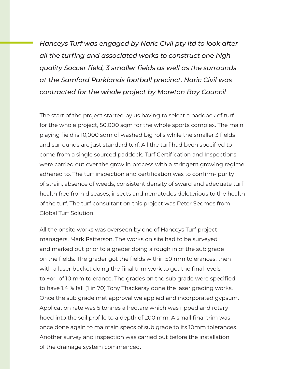*Hanceys Turf was engaged by Naric Civil pty ltd to look after all the turfing and associated works to construct one high quality Soccer field, 3 smaller fields as well as the surrounds at the Samford Parklands football precinct. Naric Civil was contracted for the whole project by Moreton Bay Council*

The start of the project started by us having to select a paddock of turf for the whole project, 50,000 sqm for the whole sports complex. The main playing field is 10,000 sqm of washed big rolls while the smaller 3 fields and surrounds are just standard turf. All the turf had been specified to come from a single sourced paddock. Turf Certification and Inspections were carried out over the grow in process with a stringent growing regime adhered to. The turf inspection and certification was to confirm- purity of strain, absence of weeds, consistent density of sward and adequate turf health free from diseases, insects and nematodes deleterious to the health of the turf. The turf consultant on this project was Peter Seemos from Global Turf Solution.

All the onsite works was overseen by one of Hanceys Turf project managers, Mark Patterson. The works on site had to be surveyed and marked out prior to a grader doing a rough in of the sub grade on the fields. The grader got the fields within 50 mm tolerances, then with a laser bucket doing the final trim work to get the final levels to +or- of 10 mm tolerance. The grades on the sub grade were specified to have 1.4 % fall (1 in 70) Tony Thackeray done the laser grading works. Once the sub grade met approval we applied and incorporated gypsum. Application rate was 5 tonnes a hectare which was ripped and rotary hoed into the soil profile to a depth of 200 mm. A small final trim was once done again to maintain specs of sub grade to its 10mm tolerances. Another survey and inspection was carried out before the installation of the drainage system commenced.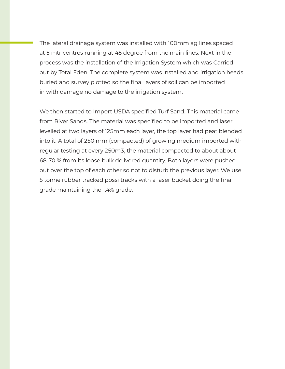The lateral drainage system was installed with 100mm ag lines spaced at 5 mtr centres running at 45 degree from the main lines. Next in the process was the installation of the Irrigation System which was Carried out by Total Eden. The complete system was installed and irrigation heads buried and survey plotted so the final layers of soil can be imported in with damage no damage to the irrigation system.

We then started to Import USDA specified Turf Sand. This material came from River Sands. The material was specified to be imported and laser levelled at two layers of 125mm each layer, the top layer had peat blended into it. A total of 250 mm (compacted) of growing medium imported with regular testing at every 250m3, the material compacted to about about 68-70 % from its loose bulk delivered quantity. Both layers were pushed out over the top of each other so not to disturb the previous layer. We use 5 tonne rubber tracked possi tracks with a laser bucket doing the final grade maintaining the 1.4% grade.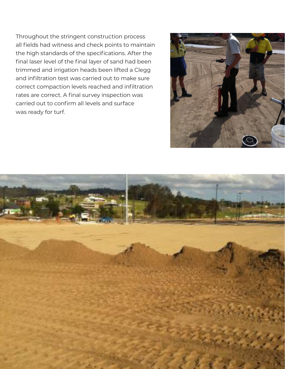Throughout the stringent construction process all fields had witness and check points to maintain the high standards of the specifications. After the final laser level of the final layer of sand had been trimmed and irrigation heads been lifted a Clegg and infiltration test was carried out to make sure correct compaction levels reached and infiltration rates are correct. A final survey inspection was carried out to confirm all levels and surface was ready for turf.



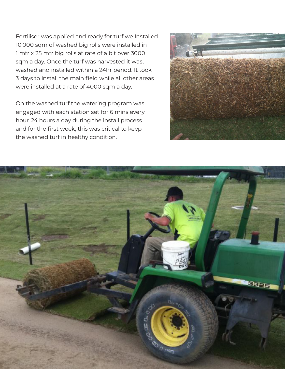Fertiliser was applied and ready for turf we Installed 10,000 sqm of washed big rolls were installed in 1 mtr x 25 mtr big rolls at rate of a bit over 3000 sqm a day. Once the turf was harvested it was, washed and installed within a 24hr period. It took 3 days to install the main field while all other areas were installed at a rate of 4000 sqm a day.

On the washed turf the watering program was engaged with each station set for 6 mins every hour, 24 hours a day during the install process and for the first week, this was critical to keep the washed turf in healthy condition.